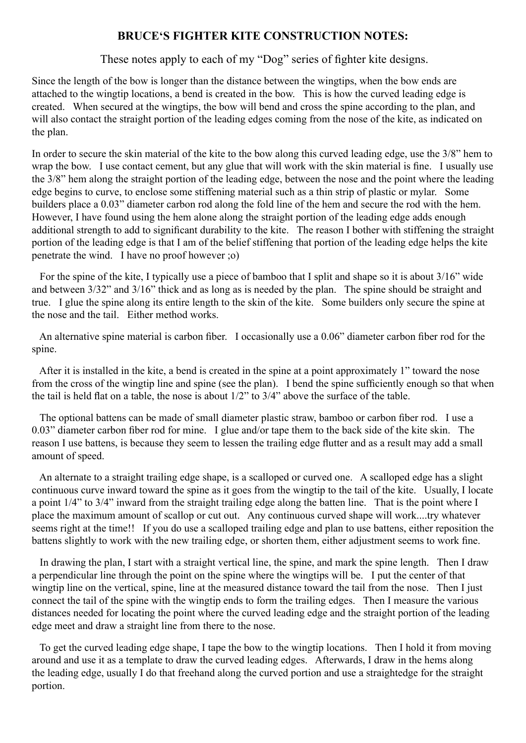### **BRUCE'S FIGHTER KITE CONSTRUCTION NOTES:**

#### These notes apply to each of my "Dog" series of fighter kite designs.

Since the length of the bow is longer than the distance between the wingtips, when the bow ends are attached to the wingtip locations, a bend is created in the bow. This is how the curved leading edge is created. When secured at the wingtips, the bow will bend and cross the spine according to the plan, and will also contact the straight portion of the leading edges coming from the nose of the kite, as indicated on the plan.

In order to secure the skin material of the kite to the bow along this curved leading edge, use the 3/8" hem to wrap the bow. I use contact cement, but any glue that will work with the skin material is fine. I usually use the 3/8" hem along the straight portion of the leading edge, between the nose and the point where the leading edge begins to curve, to enclose some stiffening material such as a thin strip of plastic or mylar. Some builders place a 0.03" diameter carbon rod along the fold line of the hem and secure the rod with the hem. However, I have found using the hem alone along the straight portion of the leading edge adds enough additional strength to add to significant durability to the kite. The reason I bother with stiffening the straight portion of the leading edge is that I am of the belief stiffening that portion of the leading edge helps the kite penetrate the wind. I have no proof however ;o)

 For the spine of the kite, I typically use a piece of bamboo that I split and shape so it is about 3/16" wide and between 3/32" and 3/16" thick and as long as is needed by the plan. The spine should be straight and true. I glue the spine along its entire length to the skin of the kite. Some builders only secure the spine at the nose and the tail. Either method works.

 An alternative spine material is carbon fiber. I occasionally use a 0.06" diameter carbon fiber rod for the spine.

 After it is installed in the kite, a bend is created in the spine at a point approximately 1" toward the nose from the cross of the wingtip line and spine (see the plan). I bend the spine sufficiently enough so that when the tail is held flat on a table, the nose is about 1/2" to 3/4" above the surface of the table.

 The optional battens can be made of small diameter plastic straw, bamboo or carbon fiber rod. I use a 0.03" diameter carbon fiber rod for mine. I glue and/or tape them to the back side of the kite skin. The reason I use battens, is because they seem to lessen the trailing edge flutter and as a result may add a small amount of speed.

 An alternate to a straight trailing edge shape, is a scalloped or curved one. A scalloped edge has a slight continuous curve inward toward the spine as it goes from the wingtip to the tail of the kite. Usually, I locate a point 1/4" to 3/4" inward from the straight trailing edge along the batten line. That is the point where I place the maximum amount of scallop or cut out. Any continuous curved shape will work....try whatever seems right at the time!! If you do use a scalloped trailing edge and plan to use battens, either reposition the battens slightly to work with the new trailing edge, or shorten them, either adjustment seems to work fine.

 In drawing the plan, I start with a straight vertical line, the spine, and mark the spine length. Then I draw a perpendicular line through the point on the spine where the wingtips will be. I put the center of that wingtip line on the vertical, spine, line at the measured distance toward the tail from the nose. Then I just connect the tail of the spine with the wingtip ends to form the trailing edges. Then I measure the various distances needed for locating the point where the curved leading edge and the straight portion of the leading edge meet and draw a straight line from there to the nose.

 To get the curved leading edge shape, I tape the bow to the wingtip locations. Then I hold it from moving around and use it as a template to draw the curved leading edges. Afterwards, I draw in the hems along the leading edge, usually I do that freehand along the curved portion and use a straightedge for the straight portion.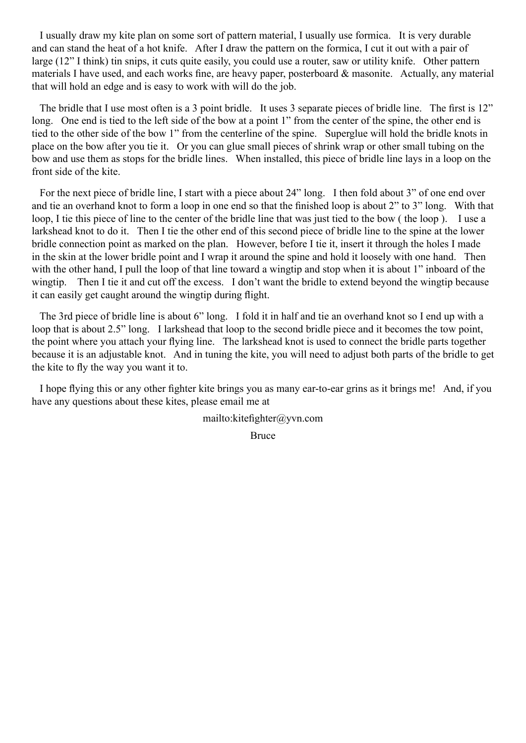I usually draw my kite plan on some sort of pattern material, I usually use formica. It is very durable and can stand the heat of a hot knife. After I draw the pattern on the formica, I cut it out with a pair of large (12" I think) tin snips, it cuts quite easily, you could use a router, saw or utility knife. Other pattern materials I have used, and each works fine, are heavy paper, posterboard & masonite. Actually, any material that will hold an edge and is easy to work with will do the job.

 The bridle that I use most often is a 3 point bridle. It uses 3 separate pieces of bridle line. The first is 12" long. One end is tied to the left side of the bow at a point 1" from the center of the spine, the other end is tied to the other side of the bow 1" from the centerline of the spine. Superglue will hold the bridle knots in place on the bow after you tie it. Or you can glue small pieces of shrink wrap or other small tubing on the bow and use them as stops for the bridle lines. When installed, this piece of bridle line lays in a loop on the front side of the kite.

 For the next piece of bridle line, I start with a piece about 24" long. I then fold about 3" of one end over and tie an overhand knot to form a loop in one end so that the finished loop is about 2" to 3" long. With that loop, I tie this piece of line to the center of the bridle line that was just tied to the bow ( the loop ). I use a larkshead knot to do it. Then I tie the other end of this second piece of bridle line to the spine at the lower bridle connection point as marked on the plan. However, before I tie it, insert it through the holes I made in the skin at the lower bridle point and I wrap it around the spine and hold it loosely with one hand. Then with the other hand, I pull the loop of that line toward a wingtip and stop when it is about 1" inboard of the wingtip. Then I tie it and cut off the excess. I don't want the bridle to extend beyond the wingtip because it can easily get caught around the wingtip during flight.

 The 3rd piece of bridle line is about 6" long. I fold it in half and tie an overhand knot so I end up with a loop that is about 2.5" long. I larkshead that loop to the second bridle piece and it becomes the tow point, the point where you attach your flying line. The larkshead knot is used to connect the bridle parts together because it is an adjustable knot. And in tuning the kite, you will need to adjust both parts of the bridle to get the kite to fly the way you want it to.

 I hope flying this or any other fighter kite brings you as many ear-to-ear grins as it brings me! And, if you have any questions about these kites, please email me at

mailto:kitefighter@yvn.com

Bruce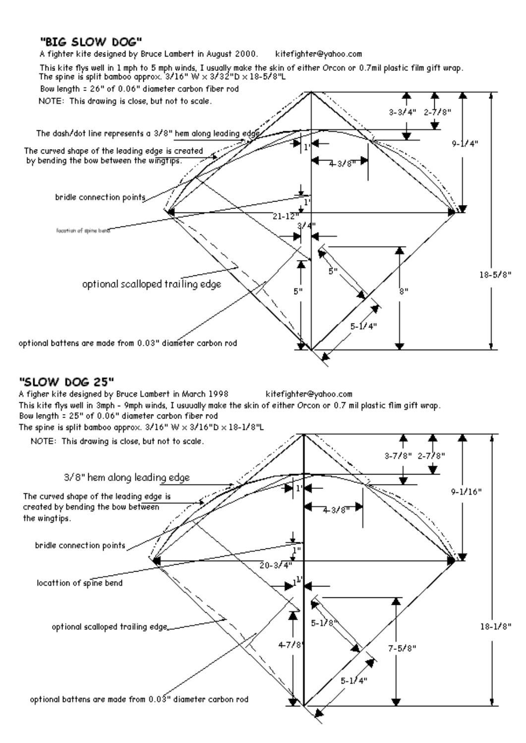## "BIG SLOW DOG"

A fighter kite designed by Bruce Lambert in August 2000. kitefighter@yahoo.com

This kite flys well in 1 mph to 5 mph winds, I usually make the skin of either Orcon or 0.7mil plastic film gift wrap.<br>The spine is split bamboo approx.  $3/16$ " W  $\times$   $3/32$ "D  $\times$  18-5/8"L



# "SLOW DOG 25"

A figher kite designed by Bruce Lambert in March 1998 kitefighter@yahoo.com This kite flys well in 3mph - 9mph winds. I usuually make the skin of either Orcon or 0.7 mil plastic flim gift wrap. Bow length = 25" of 0.06" diameter carbon fiber rod